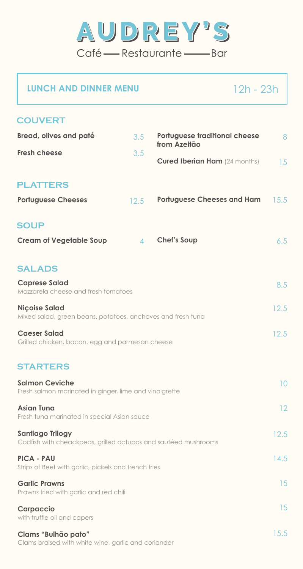

# **LUNCH AND DINNER MENU** 12h - 23h

| <b>COUVERT</b>                                                                            |                  |                                                      |      |
|-------------------------------------------------------------------------------------------|------------------|------------------------------------------------------|------|
| <b>Bread, olives and paté</b>                                                             | 3.5              | <b>Portuguese traditional cheese</b><br>from Azeitão | 8    |
| <b>Fresh cheese</b>                                                                       | 3.5              | <b>Cured Iberian Ham</b> (24 months)                 | 15   |
| <b>PLATTERS</b>                                                                           |                  |                                                      |      |
| <b>Portuguese Cheeses</b>                                                                 | 12.5             | <b>Portuguese Cheeses and Ham</b>                    | 15.5 |
| <b>SOUP</b>                                                                               |                  |                                                      |      |
| <b>Cream of Vegetable Soup</b>                                                            | $\blacktriangle$ | <b>Chef's Soup</b>                                   | 6.5  |
|                                                                                           |                  |                                                      |      |
| <b>SALADS</b><br><b>Caprese Salad</b><br>Mozzarela cheese and fresh tomatoes              |                  |                                                      | 8.5  |
| <b>Niçoise Salad</b><br>Mixed salad, green beans, potatoes, anchoves and fresh tuna       |                  |                                                      | 12.5 |
| <b>Caeser Salad</b><br>Grilled chicken, bacon, egg and parmesan cheese                    |                  |                                                      |      |
| <b>STARTERS</b>                                                                           |                  |                                                      |      |
| <b>Salmon Ceviche</b><br>Fresh salmon marinated in ginger, lime and vinaigrette           |                  |                                                      | 10   |
| <b>Asian Tuna</b><br>Fresh tuna marinated in special Asian sauce                          |                  |                                                      | 12   |
| <b>Santiago Trilogy</b><br>Codfish with cheackpeas, grilled octupos and sautéed mushrooms |                  |                                                      | 12.5 |
| <b>PICA - PAU</b><br>Strips of Beef with garlic, pickels and french fries                 |                  |                                                      | 14.5 |
| <b>Garlic Prawns</b><br>Prawns fried with garlic and red chili                            |                  |                                                      | 15   |
| <b>Carpaccio</b><br>with truffle oil and capers                                           |                  |                                                      | 15   |
| Clams "Bulhão pato"<br>Clams braised with white wine, garlic and coriander                |                  |                                                      | 15.5 |